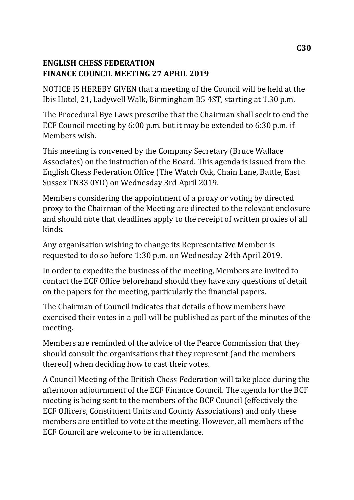# **ENGLISH CHESS FEDERATION FINANCE COUNCIL MEETING 27 APRIL 2019**

NOTICE IS HEREBY GIVEN that a meeting of the Council will be held at the Ibis Hotel, 21, Ladywell Walk, Birmingham B5 4ST, starting at 1.30 p.m.

The Procedural Bye Laws prescribe that the Chairman shall seek to end the ECF Council meeting by 6:00 p.m. but it may be extended to 6:30 p.m. if Members wish.

This meeting is convened by the Company Secretary (Bruce Wallace Associates) on the instruction of the Board. This agenda is issued from the English Chess Federation Office (The Watch Oak, Chain Lane, Battle, East Sussex TN33 0YD) on Wednesday 3rd April 2019.

Members considering the appointment of a proxy or voting by directed proxy to the Chairman of the Meeting are directed to the relevant enclosure and should note that deadlines apply to the receipt of written proxies of all kinds.

Any organisation wishing to change its Representative Member is requested to do so before 1:30 p.m. on Wednesday 24th April 2019.

In order to expedite the business of the meeting, Members are invited to contact the ECF Office beforehand should they have any questions of detail on the papers for the meeting, particularly the financial papers.

The Chairman of Council indicates that details of how members have exercised their votes in a poll will be published as part of the minutes of the meeting.

Members are reminded of the advice of the Pearce Commission that they should consult the organisations that they represent (and the members thereof) when deciding how to cast their votes.

A Council Meeting of the British Chess Federation will take place during the afternoon adjournment of the ECF Finance Council. The agenda for the BCF meeting is being sent to the members of the BCF Council (effectively the ECF Officers, Constituent Units and County Associations) and only these members are entitled to vote at the meeting. However, all members of the ECF Council are welcome to be in attendance.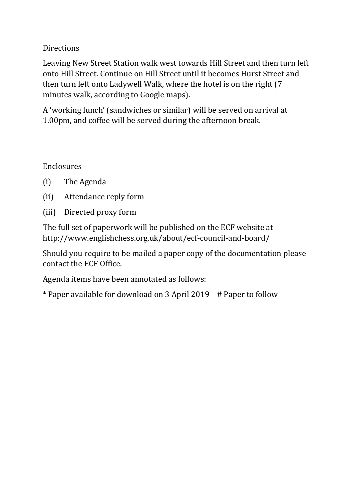# Directions

Leaving New Street Station walk west towards Hill Street and then turn left onto Hill Street. Continue on Hill Street until it becomes Hurst Street and then turn left onto Ladywell Walk, where the hotel is on the right (7 minutes walk, according to Google maps).

A 'working lunch' (sandwiches or similar) will be served on arrival at 1.00pm, and coffee will be served during the afternoon break.

### Enclosures

- (i) The Agenda
- (ii) Attendance reply form
- (iii) Directed proxy form

The full set of paperwork will be published on the ECF website at http://www.englishchess.org.uk/about/ecf-council-and-board/

Should you require to be mailed a paper copy of the documentation please contact the ECF Office.

Agenda items have been annotated as follows:

\* Paper available for download on 3 April 2019 # Paper to follow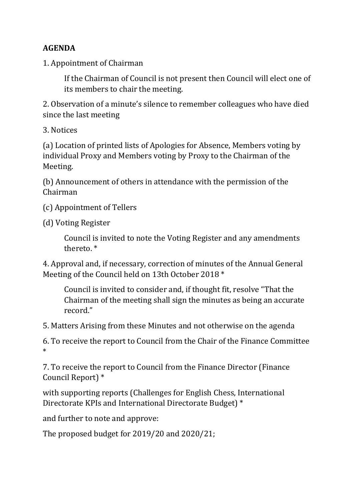# **AGENDA**

1. Appointment of Chairman

If the Chairman of Council is not present then Council will elect one of its members to chair the meeting.

2. Observation of a minute's silence to remember colleagues who have died since the last meeting

3. Notices

(a) Location of printed lists of Apologies for Absence, Members voting by individual Proxy and Members voting by Proxy to the Chairman of the Meeting.

(b) Announcement of others in attendance with the permission of the Chairman

(c) Appointment of Tellers

(d) Voting Register

Council is invited to note the Voting Register and any amendments thereto. \*

4. Approval and, if necessary, correction of minutes of the Annual General Meeting of the Council held on 13th October 2018 \*

Council is invited to consider and, if thought fit, resolve "That the Chairman of the meeting shall sign the minutes as being an accurate record."

5. Matters Arising from these Minutes and not otherwise on the agenda

6. To receive the report to Council from the Chair of the Finance Committee \*

7. To receive the report to Council from the Finance Director (Finance Council Report) \*

with supporting reports (Challenges for English Chess, International Directorate KPIs and International Directorate Budget) \*

and further to note and approve:

The proposed budget for 2019/20 and 2020/21;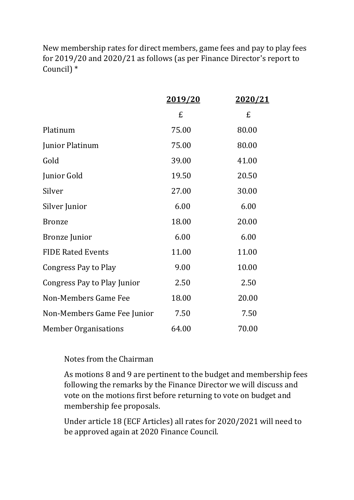New membership rates for direct members, game fees and pay to play fees for 2019/20 and 2020/21 as follows (as per Finance Director's report to Council) \*

|                             | 2019/20 | <u>2020/21</u> |
|-----------------------------|---------|----------------|
|                             | £       | £              |
| Platinum                    | 75.00   | 80.00          |
| Junior Platinum             | 75.00   | 80.00          |
| Gold                        | 39.00   | 41.00          |
| Junior Gold                 | 19.50   | 20.50          |
| Silver                      | 27.00   | 30.00          |
| Silver Junior               | 6.00    | 6.00           |
| <b>Bronze</b>               | 18.00   | 20.00          |
| <b>Bronze</b> Junior        | 6.00    | 6.00           |
| <b>FIDE Rated Events</b>    | 11.00   | 11.00          |
| Congress Pay to Play        | 9.00    | 10.00          |
| Congress Pay to Play Junior | 2.50    | 2.50           |
| Non-Members Game Fee        | 18.00   | 20.00          |
| Non-Members Game Fee Junior | 7.50    | 7.50           |
| <b>Member Organisations</b> | 64.00   | 70.00          |

#### Notes from the Chairman

As motions 8 and 9 are pertinent to the budget and membership fees following the remarks by the Finance Director we will discuss and vote on the motions first before returning to vote on budget and membership fee proposals.

Under article 18 (ECF Articles) all rates for 2020/2021 will need to be approved again at 2020 Finance Council.